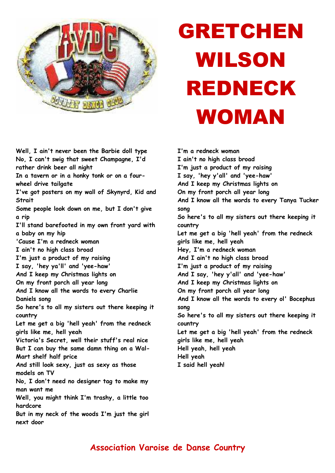

## GRETCHEN WILSON REDNECK WOMAN

**Well, I ain't never been the Barbie doll type No, I can't swig that sweet Champagne, I'd rather drink beer all night In a tavern or in a honky tonk or on a fourwheel drive tailgate I've got posters on my wall of Skynyrd, Kid and Strait Some people look down on me, but I don't give a rip I'll stand barefooted in my own front yard with a baby on my hip 'Cause I'm a redneck woman I ain't no high class broad I'm just a product of my raising I say, 'hey ya'll' and 'yee-haw' And I keep my Christmas lights on On my front porch all year long And I know all the words to every Charlie Daniels song So here's to all my sisters out there keeping it country Let me get a big 'hell yeah' from the redneck girls like me, hell yeah Victoria's Secret, well their stuff's real nice But I can buy the same damn thing on a Wal-Mart shelf half price And still look sexy, just as sexy as those models on TV No, I don't need no designer tag to make my man want me Well, you might think I'm trashy, a little too hardcore But in my neck of the woods I'm just the girl next door** 

**I'm a redneck woman I ain't no high class broad I'm just a product of my raising I say, 'hey y'all' and 'yee-haw' And I keep my Christmas lights on On my front porch all year long And I know all the words to every Tanya Tucker song So here's to all my sisters out there keeping it country Let me get a big 'hell yeah' from the redneck girls like me, hell yeah Hey, I'm a redneck woman And I ain't no high class broad I'm just a product of my raising And I say, 'hey y'all' and 'yee-haw' And I keep my Christmas lights on On my front porch all year long And I know all the words to every ol' Bocephus song So here's to all my sisters out there keeping it country Let me get a big 'hell yeah' from the redneck girls like me, hell yeah Hell yeah, hell yeah Hell yeah I said hell yeah!**